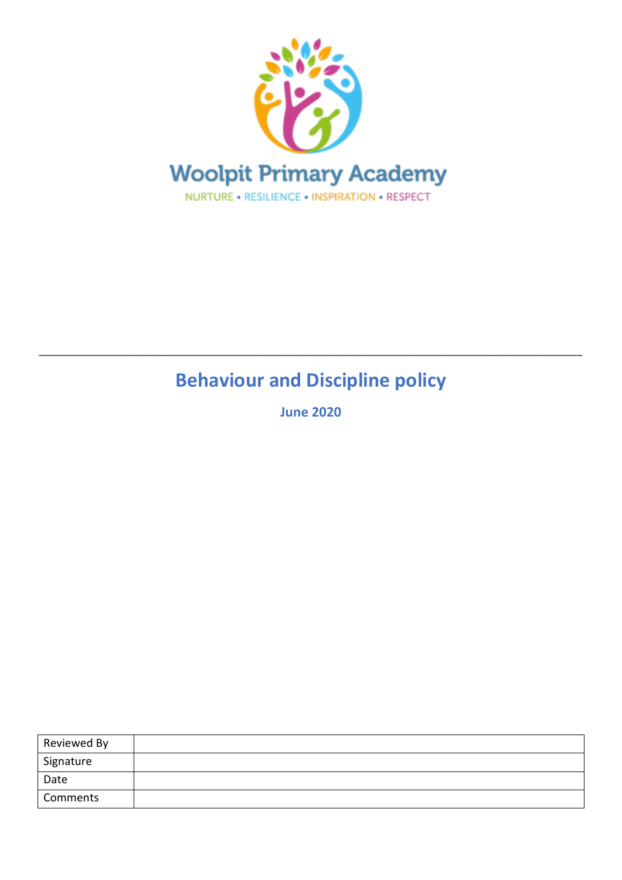

# **Behaviour and Discipline policy**

\_\_\_\_\_\_\_\_\_\_\_\_\_\_\_\_\_\_\_\_\_\_\_\_\_\_\_\_\_\_\_\_\_\_\_\_\_\_\_\_\_\_\_\_\_\_\_\_\_\_\_\_\_\_\_\_\_\_\_\_\_\_\_\_\_\_\_\_\_\_\_\_\_\_\_\_\_\_\_\_\_\_\_\_\_\_\_\_\_\_\_\_\_\_\_

**June 2020**

| Reviewed By |  |
|-------------|--|
| Signature   |  |
| Date        |  |
| Comments    |  |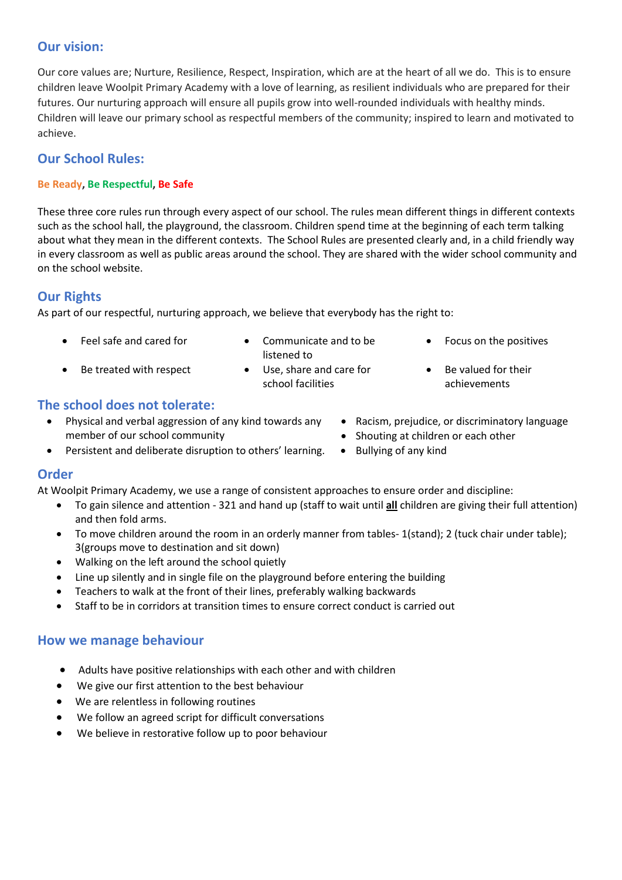## **Our vision:**

Our core values are; Nurture, Resilience, Respect, Inspiration, which are at the heart of all we do. This is to ensure children leave Woolpit Primary Academy with a love of learning, as resilient individuals who are prepared for their futures. Our nurturing approach will ensure all pupils grow into well-rounded individuals with healthy minds. Children will leave our primary school as respectful members of the community; inspired to learn and motivated to achieve.

## **Our School Rules:**

#### **Be Ready, Be Respectful, Be Safe**

These three core rules run through every aspect of our school. The rules mean different things in different contexts such as the school hall, the playground, the classroom. Children spend time at the beginning of each term talking about what they mean in the different contexts. The School Rules are presented clearly and, in a child friendly way in every classroom as well as public areas around the school. They are shared with the wider school community and on the school website.

## **Our Rights**

As part of our respectful, nurturing approach, we believe that everybody has the right to:

- 
- Feel safe and cared for **•** Communicate and to be listened to
- Be treated with respect Use, share and care for
- school facilities
- Focus on the positives
- Be valued for their achievements

• Racism, prejudice, or discriminatory language

## **The school does not tolerate:**

- Physical and verbal aggression of any kind towards any member of our school community
- Persistent and deliberate disruption to others' learning. Bullying of any kind

## **Order**

At Woolpit Primary Academy, we use a range of consistent approaches to ensure order and discipline:

- To gain silence and attention 321 and hand up (staff to wait until **all** children are giving their full attention) and then fold arms.
- To move children around the room in an orderly manner from tables- 1(stand); 2 (tuck chair under table); 3(groups move to destination and sit down)
- Walking on the left around the school quietly
- Line up silently and in single file on the playground before entering the building
- Teachers to walk at the front of their lines, preferably walking backwards
- Staff to be in corridors at transition times to ensure correct conduct is carried out

## **How we manage behaviour**

- Adults have positive relationships with each other and with children
- We give our first attention to the best behaviour
- We are relentless in following routines
- We follow an agreed script for difficult conversations
- We believe in restorative follow up to poor behaviour
- Shouting at children or each other
-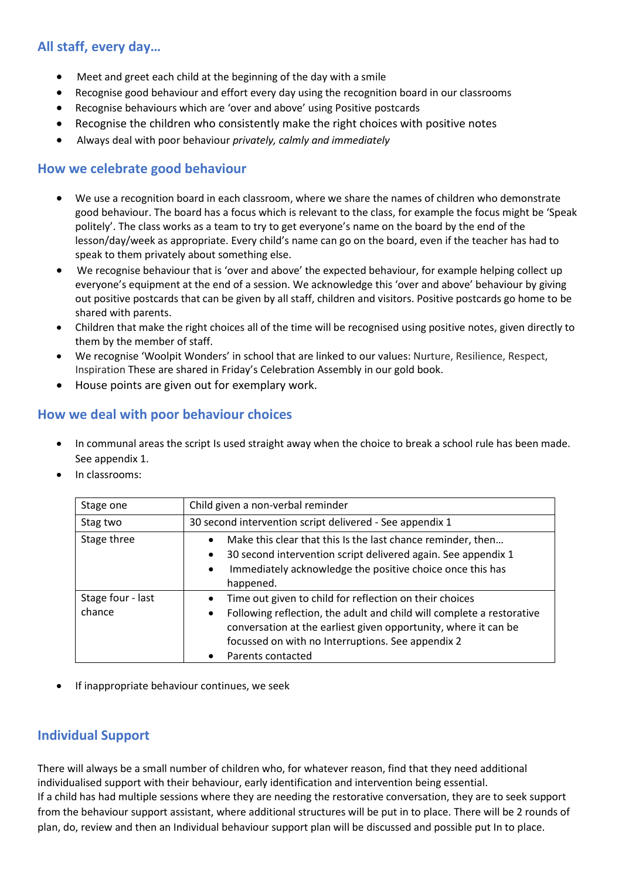## **All staff, every day…**

- Meet and greet each child at the beginning of the day with a smile
- Recognise good behaviour and effort every day using the recognition board in our classrooms
- Recognise behaviours which are 'over and above' using Positive postcards
- Recognise the children who consistently make the right choices with positive notes
- Always deal with poor behaviour *privately, calmly and immediately*

### **How we celebrate good behaviour**

- We use a recognition board in each classroom, where we share the names of children who demonstrate good behaviour. The board has a focus which is relevant to the class, for example the focus might be 'Speak politely'. The class works as a team to try to get everyone's name on the board by the end of the lesson/day/week as appropriate. Every child's name can go on the board, even if the teacher has had to speak to them privately about something else.
- We recognise behaviour that is 'over and above' the expected behaviour, for example helping collect up everyone's equipment at the end of a session. We acknowledge this 'over and above' behaviour by giving out positive postcards that can be given by all staff, children and visitors. Positive postcards go home to be shared with parents.
- Children that make the right choices all of the time will be recognised using positive notes, given directly to them by the member of staff.
- We recognise 'Woolpit Wonders' in school that are linked to our values: Nurture, Resilience, Respect, Inspiration These are shared in Friday's Celebration Assembly in our gold book.
- House points are given out for exemplary work.

## **How we deal with poor behaviour choices**

- In communal areas the script Is used straight away when the choice to break a school rule has been made. See appendix 1.
- In classrooms:

| Stage one                   | Child given a non-verbal reminder                                                                                                                                                                                                                                                                       |
|-----------------------------|---------------------------------------------------------------------------------------------------------------------------------------------------------------------------------------------------------------------------------------------------------------------------------------------------------|
| Stag two                    | 30 second intervention script delivered - See appendix 1                                                                                                                                                                                                                                                |
| Stage three                 | Make this clear that this Is the last chance reminder, then<br>30 second intervention script delivered again. See appendix 1<br>$\bullet$<br>Immediately acknowledge the positive choice once this has<br>happened.                                                                                     |
| Stage four - last<br>chance | Time out given to child for reflection on their choices<br>$\bullet$<br>Following reflection, the adult and child will complete a restorative<br>$\bullet$<br>conversation at the earliest given opportunity, where it can be<br>focussed on with no Interruptions. See appendix 2<br>Parents contacted |

If inappropriate behaviour continues, we seek

## **Individual Support**

There will always be a small number of children who, for whatever reason, find that they need additional individualised support with their behaviour, early identification and intervention being essential. If a child has had multiple sessions where they are needing the restorative conversation, they are to seek support from the behaviour support assistant, where additional structures will be put in to place. There will be 2 rounds of plan, do, review and then an Individual behaviour support plan will be discussed and possible put In to place.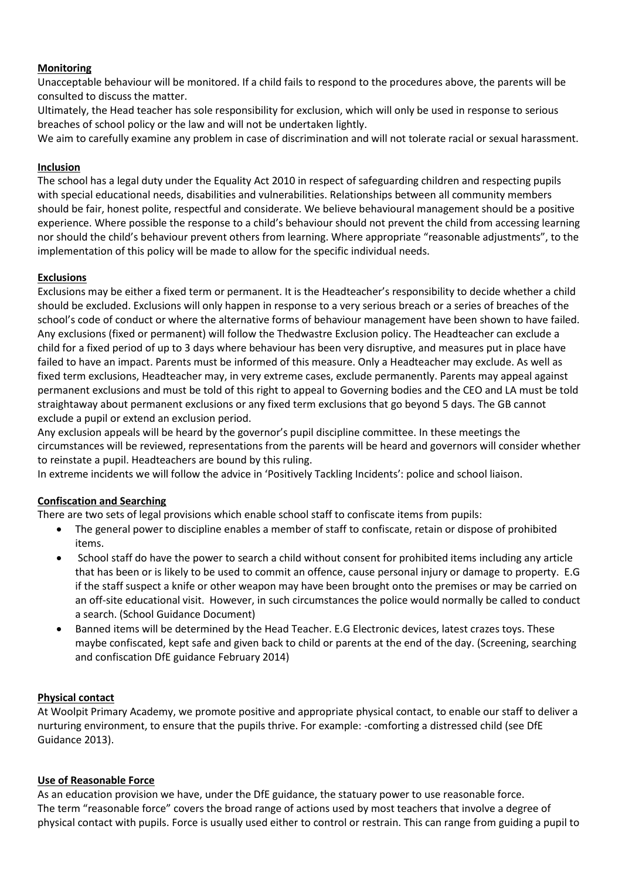#### **Monitoring**

Unacceptable behaviour will be monitored. If a child fails to respond to the procedures above, the parents will be consulted to discuss the matter.

Ultimately, the Head teacher has sole responsibility for exclusion, which will only be used in response to serious breaches of school policy or the law and will not be undertaken lightly.

We aim to carefully examine any problem in case of discrimination and will not tolerate racial or sexual harassment.

#### **Inclusion**

The school has a legal duty under the Equality Act 2010 in respect of safeguarding children and respecting pupils with special educational needs, disabilities and vulnerabilities. Relationships between all community members should be fair, honest polite, respectful and considerate. We believe behavioural management should be a positive experience. Where possible the response to a child's behaviour should not prevent the child from accessing learning nor should the child's behaviour prevent others from learning. Where appropriate "reasonable adjustments", to the implementation of this policy will be made to allow for the specific individual needs.

#### **Exclusions**

Exclusions may be either a fixed term or permanent. It is the Headteacher's responsibility to decide whether a child should be excluded. Exclusions will only happen in response to a very serious breach or a series of breaches of the school's code of conduct or where the alternative forms of behaviour management have been shown to have failed. Any exclusions (fixed or permanent) will follow the Thedwastre Exclusion policy. The Headteacher can exclude a child for a fixed period of up to 3 days where behaviour has been very disruptive, and measures put in place have failed to have an impact. Parents must be informed of this measure. Only a Headteacher may exclude. As well as fixed term exclusions, Headteacher may, in very extreme cases, exclude permanently. Parents may appeal against permanent exclusions and must be told of this right to appeal to Governing bodies and the CEO and LA must be told straightaway about permanent exclusions or any fixed term exclusions that go beyond 5 days. The GB cannot exclude a pupil or extend an exclusion period.

Any exclusion appeals will be heard by the governor's pupil discipline committee. In these meetings the circumstances will be reviewed, representations from the parents will be heard and governors will consider whether to reinstate a pupil. Headteachers are bound by this ruling.

In extreme incidents we will follow the advice in 'Positively Tackling Incidents': police and school liaison.

#### **Confiscation and Searching**

There are two sets of legal provisions which enable school staff to confiscate items from pupils:

- The general power to discipline enables a member of staff to confiscate, retain or dispose of prohibited items.
- School staff do have the power to search a child without consent for prohibited items including any article that has been or is likely to be used to commit an offence, cause personal injury or damage to property. E.G if the staff suspect a knife or other weapon may have been brought onto the premises or may be carried on an off-site educational visit. However, in such circumstances the police would normally be called to conduct a search. (School Guidance Document)
- Banned items will be determined by the Head Teacher. E.G Electronic devices, latest crazes toys. These maybe confiscated, kept safe and given back to child or parents at the end of the day. (Screening, searching and confiscation DfE guidance February 2014)

#### **Physical contact**

At Woolpit Primary Academy, we promote positive and appropriate physical contact, to enable our staff to deliver a nurturing environment, to ensure that the pupils thrive. For example: -comforting a distressed child (see DfE Guidance 2013).

#### **Use of Reasonable Force**

As an education provision we have, under the DfE guidance, the statuary power to use reasonable force. The term "reasonable force" covers the broad range of actions used by most teachers that involve a degree of physical contact with pupils. Force is usually used either to control or restrain. This can range from guiding a pupil to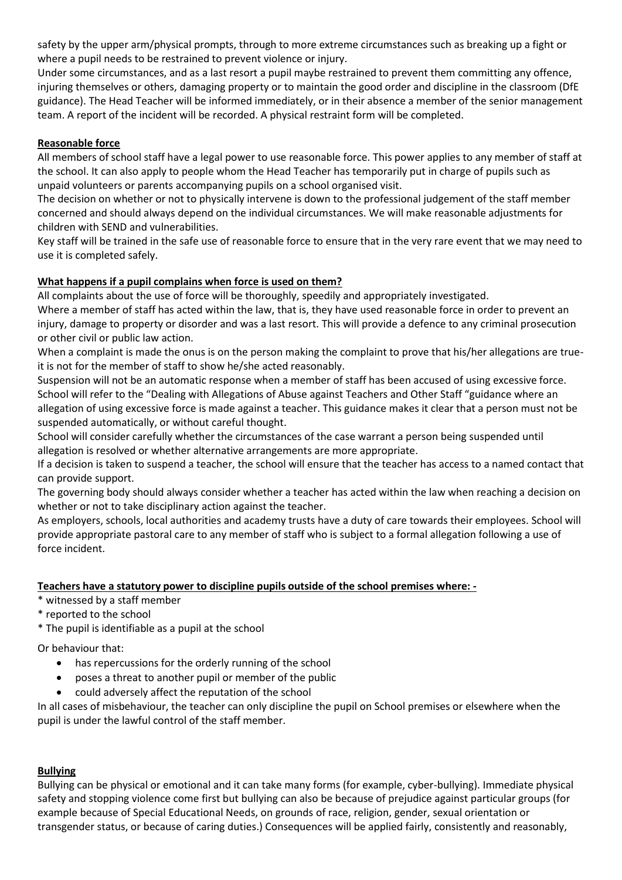safety by the upper arm/physical prompts, through to more extreme circumstances such as breaking up a fight or where a pupil needs to be restrained to prevent violence or injury.

Under some circumstances, and as a last resort a pupil maybe restrained to prevent them committing any offence, injuring themselves or others, damaging property or to maintain the good order and discipline in the classroom (DfE guidance). The Head Teacher will be informed immediately, or in their absence a member of the senior management team. A report of the incident will be recorded. A physical restraint form will be completed.

#### **Reasonable force**

All members of school staff have a legal power to use reasonable force. This power applies to any member of staff at the school. It can also apply to people whom the Head Teacher has temporarily put in charge of pupils such as unpaid volunteers or parents accompanying pupils on a school organised visit.

The decision on whether or not to physically intervene is down to the professional judgement of the staff member concerned and should always depend on the individual circumstances. We will make reasonable adjustments for children with SEND and vulnerabilities.

Key staff will be trained in the safe use of reasonable force to ensure that in the very rare event that we may need to use it is completed safely.

#### **What happens if a pupil complains when force is used on them?**

All complaints about the use of force will be thoroughly, speedily and appropriately investigated.

Where a member of staff has acted within the law, that is, they have used reasonable force in order to prevent an injury, damage to property or disorder and was a last resort. This will provide a defence to any criminal prosecution or other civil or public law action.

When a complaint is made the onus is on the person making the complaint to prove that his/her allegations are trueit is not for the member of staff to show he/she acted reasonably.

Suspension will not be an automatic response when a member of staff has been accused of using excessive force. School will refer to the "Dealing with Allegations of Abuse against Teachers and Other Staff "guidance where an allegation of using excessive force is made against a teacher. This guidance makes it clear that a person must not be suspended automatically, or without careful thought.

School will consider carefully whether the circumstances of the case warrant a person being suspended until allegation is resolved or whether alternative arrangements are more appropriate.

If a decision is taken to suspend a teacher, the school will ensure that the teacher has access to a named contact that can provide support.

The governing body should always consider whether a teacher has acted within the law when reaching a decision on whether or not to take disciplinary action against the teacher.

As employers, schools, local authorities and academy trusts have a duty of care towards their employees. School will provide appropriate pastoral care to any member of staff who is subject to a formal allegation following a use of force incident.

#### **Teachers have a statutory power to discipline pupils outside of the school premises where: -**

- \* witnessed by a staff member
- \* reported to the school
- \* The pupil is identifiable as a pupil at the school

Or behaviour that:

- has repercussions for the orderly running of the school
- poses a threat to another pupil or member of the public
- could adversely affect the reputation of the school

In all cases of misbehaviour, the teacher can only discipline the pupil on School premises or elsewhere when the pupil is under the lawful control of the staff member.

#### **Bullying**

Bullying can be physical or emotional and it can take many forms (for example, cyber-bullying). Immediate physical safety and stopping violence come first but bullying can also be because of prejudice against particular groups (for example because of Special Educational Needs, on grounds of race, religion, gender, sexual orientation or transgender status, or because of caring duties.) Consequences will be applied fairly, consistently and reasonably,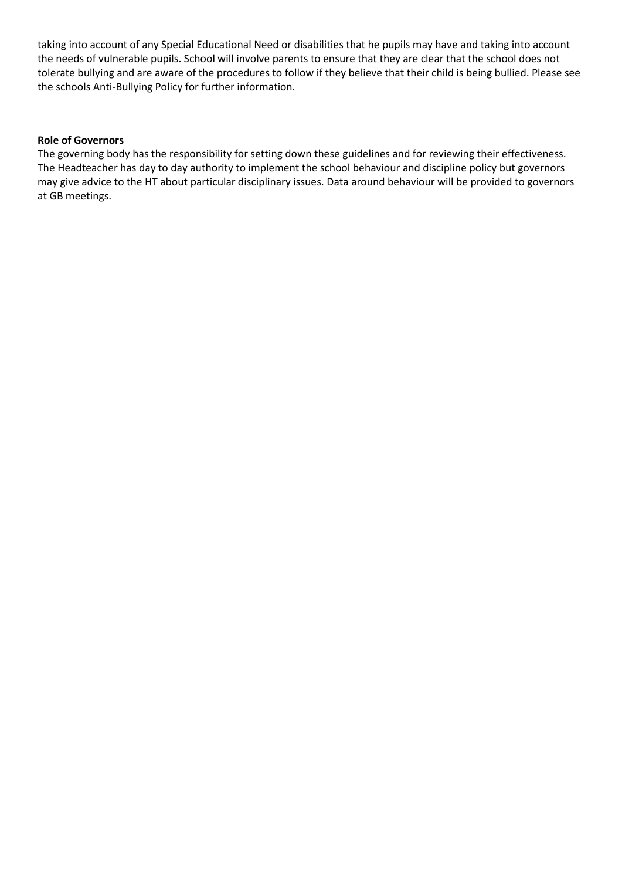taking into account of any Special Educational Need or disabilities that he pupils may have and taking into account the needs of vulnerable pupils. School will involve parents to ensure that they are clear that the school does not tolerate bullying and are aware of the procedures to follow if they believe that their child is being bullied. Please see the schools Anti-Bullying Policy for further information.

#### **Role of Governors**

The governing body has the responsibility for setting down these guidelines and for reviewing their effectiveness. The Headteacher has day to day authority to implement the school behaviour and discipline policy but governors may give advice to the HT about particular disciplinary issues. Data around behaviour will be provided to governors at GB meetings.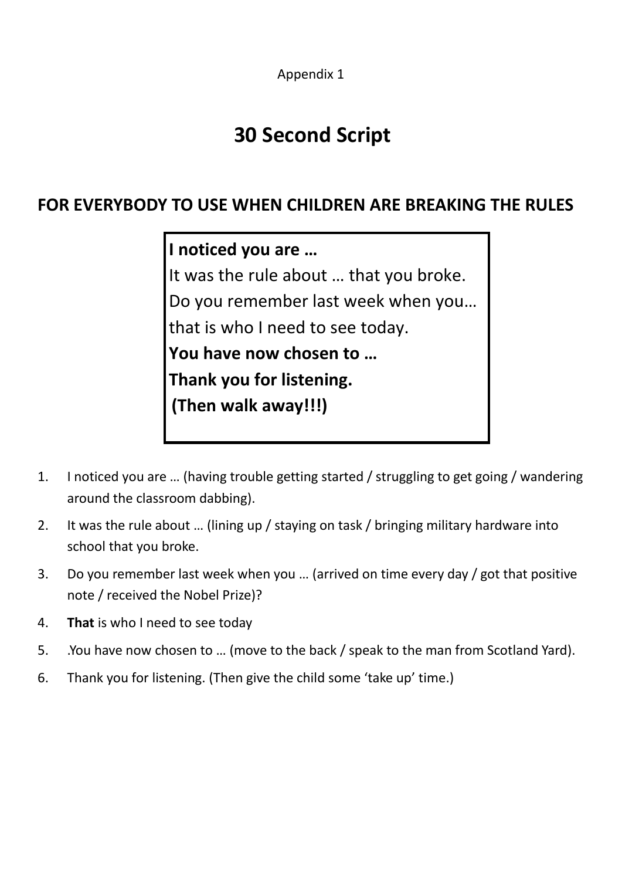Appendix 1

## **30 Second Script**

## **FOR EVERYBODY TO USE WHEN CHILDREN ARE BREAKING THE RULES**

**I noticed you are …** It was the rule about … that you broke. Do you remember last week when you… that is who I need to see today. **You have now chosen to … Thank you for listening. (Then walk away!!!)**

- 1. I noticed you are … (having trouble getting started / struggling to get going / wandering around the classroom dabbing).
- 2. It was the rule about … (lining up / staying on task / bringing military hardware into school that you broke.
- 3. Do you remember last week when you … (arrived on time every day / got that positive note / received the Nobel Prize)?
- 4. **That** is who I need to see today
- 5. .You have now chosen to … (move to the back / speak to the man from Scotland Yard).
- 6. Thank you for listening. (Then give the child some 'take up' time.)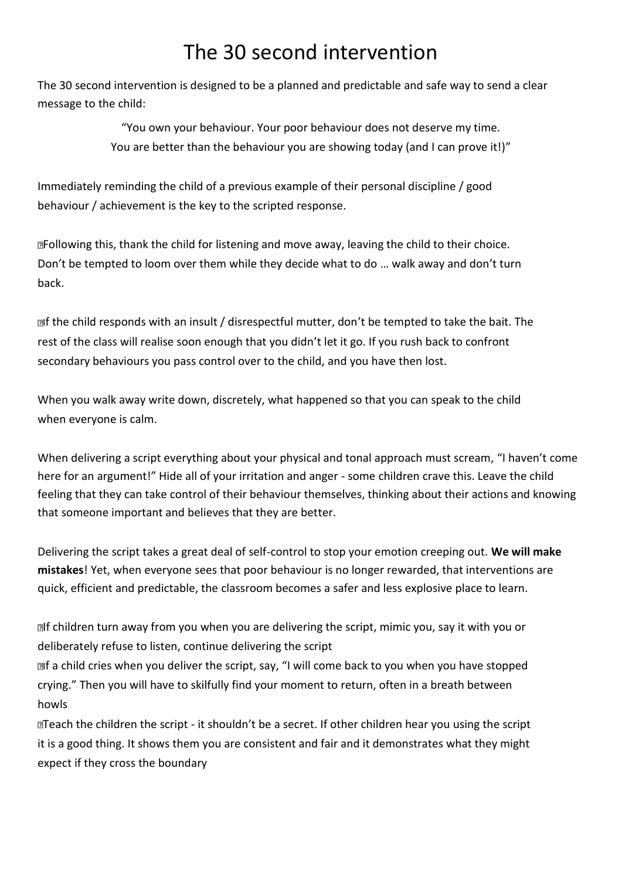## The 30 second intervention

The 30 second intervention is designed to be a planned and predictable and safe way to send a clear message to the child:

> "You own your behaviour. Your poor behaviour does not deserve my time. You are better than the behaviour you are showing today (and I can prove it!)"

Immediately reminding the child of a previous example of their personal discipline / good behaviour / achievement is the key to the scripted response.

Following this, thank the child for listening and move away, leaving the child to their choice. Don't be tempted to loom over them while they decide what to do … walk away and don't turn back.

alf the child responds with an insult / disrespectful mutter, don't be tempted to take the bait. The rest of the class will realise soon enough that you didn't let it go. If you rush back to confront secondary behaviours you pass control over to the child, and you have then lost.

When you walk away write down, discretely, what happened so that you can speak to the child when everyone is calm.

When delivering a script everything about your physical and tonal approach must scream, "I haven't come here for an argument!" Hide all of your irritation and anger - some children crave this. Leave the child feeling that they can take control of their behaviour themselves, thinking about their actions and knowing that someone important and believes that they are better.

Delivering the script takes a great deal of self-control to stop your emotion creeping out. **We will make mistakes**! Yet, when everyone sees that poor behaviour is no longer rewarded, that interventions are quick, efficient and predictable, the classroom becomes a safer and less explosive place to learn.

**If children turn away from you when you are delivering the script, mimic you, say it with you or** deliberately refuse to listen, continue delivering the script

If a child cries when you deliver the script, say, "I will come back to you when you have stopped crying." Then you will have to skilfully find your moment to return, often in a breath between howls

Teach the children the script - it shouldn't be a secret. If other children hear you using the script it is a good thing. It shows them you are consistent and fair and it demonstrates what they might expect if they cross the boundary